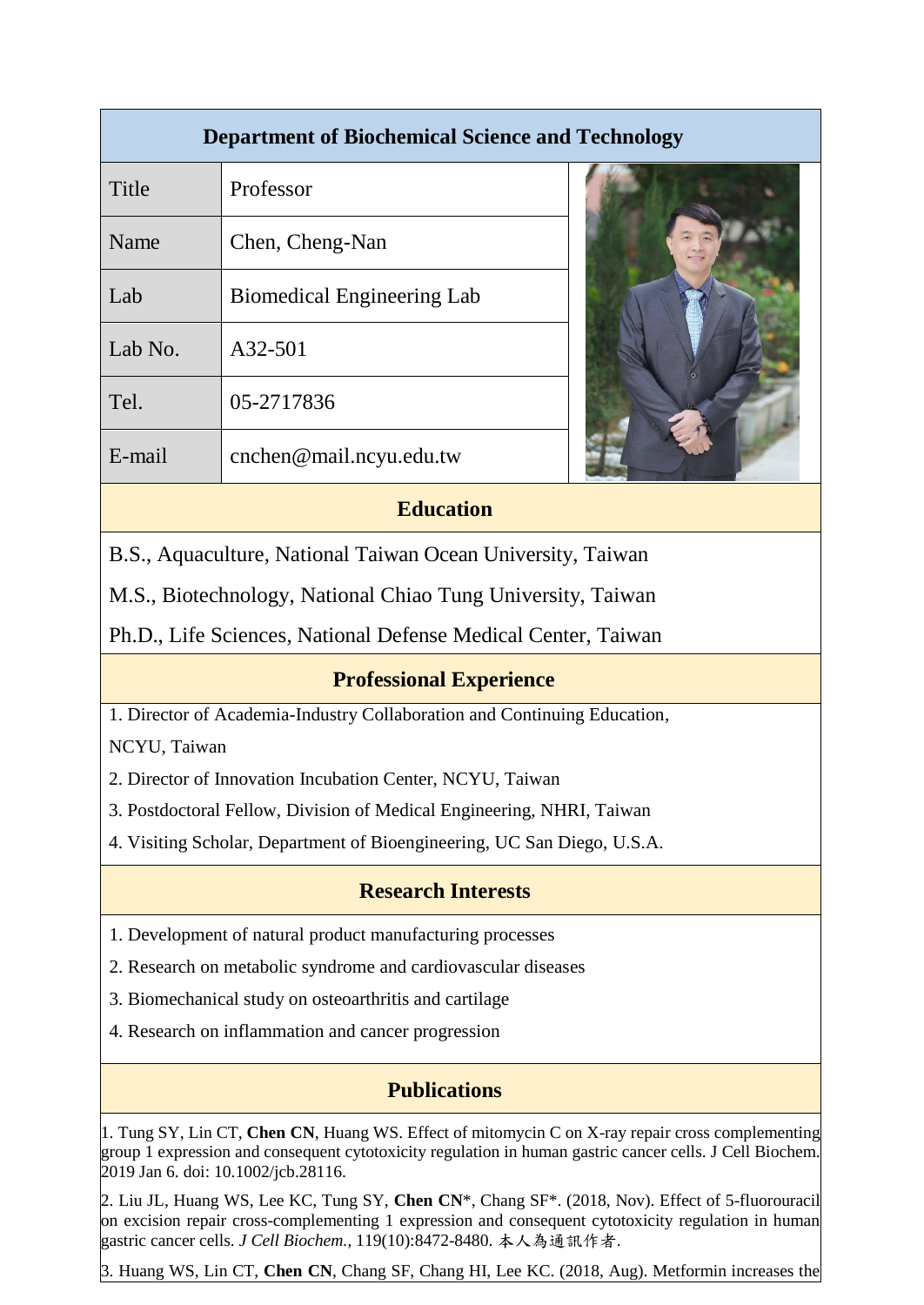| <b>Department of Biochemical Science and Technology</b> |                                   |  |
|---------------------------------------------------------|-----------------------------------|--|
| Title                                                   | Professor                         |  |
| Name                                                    | Chen, Cheng-Nan                   |  |
| Lab                                                     | <b>Biomedical Engineering Lab</b> |  |
| Lab No.                                                 | A32-501                           |  |
| Tel.                                                    | 05-2717836                        |  |
| E-mail                                                  | cnchen@mail.ncyu.edu.tw           |  |
|                                                         |                                   |  |

## **Education**

B.S., Aquaculture, National Taiwan Ocean University, Taiwan

M.S., Biotechnology, National Chiao Tung University, Taiwan

Ph.D., Life Sciences, National Defense Medical Center, Taiwan

## **Professional Experience**

1. Director of Academia-Industry Collaboration and Continuing Education,

NCYU, Taiwan

2. Director of Innovation Incubation Center, NCYU, Taiwan

3. Postdoctoral Fellow, Division of Medical Engineering, NHRI, Taiwan

4. Visiting Scholar, Department of Bioengineering, UC San Diego, U.S.A.

## **Research Interests**

- 1. Development of natural product manufacturing processes
- 2. Research on metabolic syndrome and cardiovascular diseases
- 3. Biomechanical study on osteoarthritis and cartilage
- 4. Research on inflammation and cancer progression

## **Publications**

1. Tung SY, Lin CT, Chen CN, Huang WS. Effect of mitomycin C on X-ray repair cross complementing group 1 expression and consequent cytotoxicity regulation in human gastric cancer cells. J Cell Biochem. 2019 Jan 6. doi: 10.1002/jcb.28116.

2. 2. Liu JL, Huang WS, Lee KC, Tung SY, **Chen CN**\*, Chang SF\*. (2018, Nov). Effect of 5-fluorouracil on excision repair cross-complementing 1 expression and consequent cytotoxicity regulation in human gastric cancer cells. *J Cell Biochem.*, 119(10):8472-8480. 本人為通訊作者.

3. 3. Huang WS, Lin CT, **Chen CN**, Chang SF, Chang HI, Lee KC. (2018, Aug). Metformin increases the